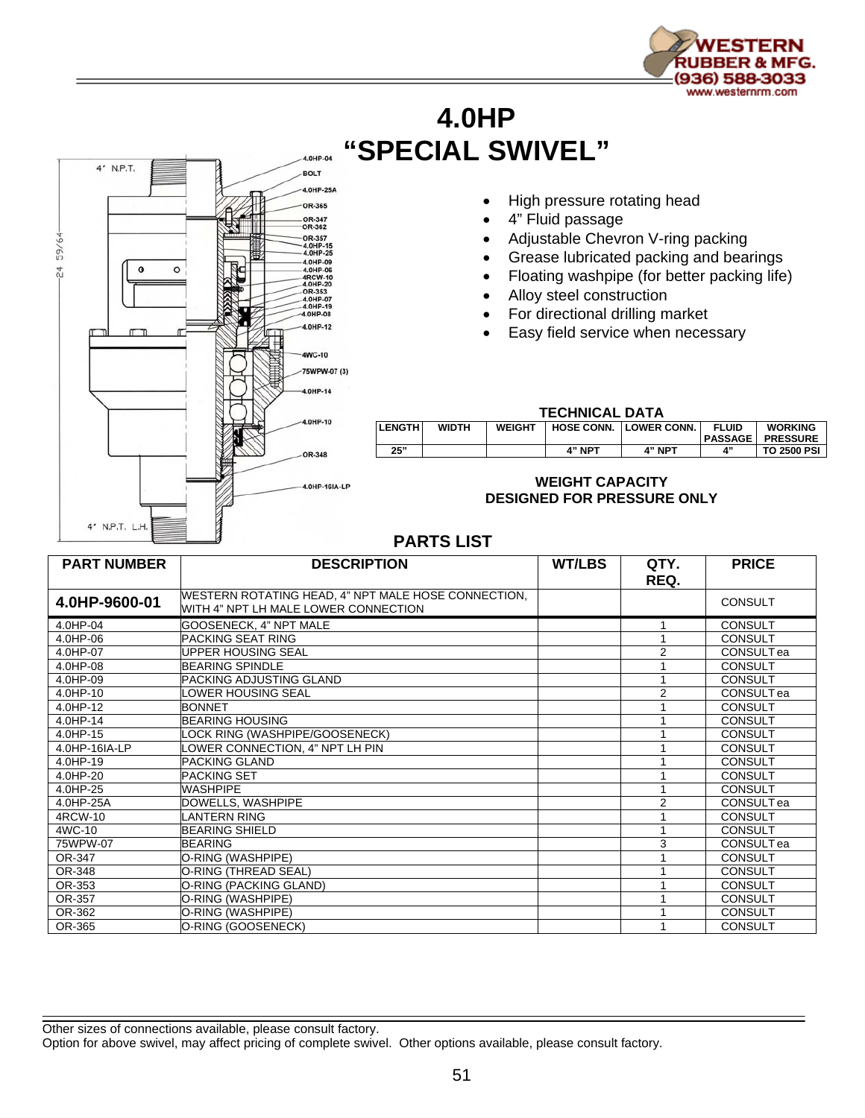

## **4.0HP "SPECIAL SWIVEL"**



- High pressure rotating head
- 4" Fluid passage
- Adjustable Chevron V-ring packing
- Grease lubricated packing and bearings
- Floating washpipe (for better packing life)
- Alloy steel construction
- For directional drilling market
- Easy field service when necessary

## **TECHNICAL DATA**

| <b>LENGTH</b> | <b>WIDTH</b> | <b>WEIGHT</b> | <b>HOSE CONN.</b> | <b>LOWER CONN.</b> | <b>FLUID</b>                | <b>WORKING</b><br><b>PASSAGE PRESSURE</b> |
|---------------|--------------|---------------|-------------------|--------------------|-----------------------------|-------------------------------------------|
| 25"           |              |               | 4" NP⊤            | 4" NPT             | $\mathbf{A}^{\prime\prime}$ | <b>TO 2500 PSI</b>                        |

## **WEIGHT CAPACITY DESIGNED FOR PRESSURE ONLY**

## **PARTS LIST**

| <b>PART NUMBER</b> | <b>DESCRIPTION</b>                                                                          | <b>WT/LBS</b> | QTY.<br>REQ.   | <b>PRICE</b>          |
|--------------------|---------------------------------------------------------------------------------------------|---------------|----------------|-----------------------|
| 4.0HP-9600-01      | WESTERN ROTATING HEAD, 4" NPT MALE HOSE CONNECTION,<br>WITH 4" NPT LH MALE LOWER CONNECTION |               |                | <b>CONSULT</b>        |
| 4.0HP-04           | GOOSENECK, 4" NPT MALE                                                                      |               |                | <b>CONSULT</b>        |
| 4.0HP-06           | <b>PACKING SEAT RING</b>                                                                    |               |                | <b>CONSULT</b>        |
| 4.0HP-07           | <b>UPPER HOUSING SEAL</b>                                                                   |               | 2              | CONSULT ea            |
| 4.0HP-08           | <b>BEARING SPINDLE</b>                                                                      |               |                | <b>CONSULT</b>        |
| 4.0HP-09           | PACKING ADJUSTING GLAND                                                                     |               |                | <b>CONSULT</b>        |
| 4.0HP-10           | OWER HOUSING SEAL                                                                           |               | $\overline{2}$ | CONSULT <sub>ea</sub> |
| 4.0HP-12           | <b>BONNET</b>                                                                               |               |                | <b>CONSULT</b>        |
| 4.0HP-14           | <b>BEARING HOUSING</b>                                                                      |               |                | <b>CONSULT</b>        |
| 4.0HP-15           | LOCK RING (WASHPIPE/GOOSENECK)                                                              |               |                | <b>CONSULT</b>        |
| 4.0HP-16IA-LP      | OWER CONNECTION, 4" NPT LH PIN                                                              |               |                | <b>CONSULT</b>        |
| 4.0HP-19           | <b>PACKING GLAND</b>                                                                        |               |                | <b>CONSULT</b>        |
| 4.0HP-20           | IPACKING SET                                                                                |               |                | CONSULT               |
| 4.0HP-25           | <b>WASHPIPE</b>                                                                             |               |                | <b>CONSULT</b>        |
| 4.0HP-25A          | DOWELLS, WASHPIPE                                                                           |               | 2              | CONSULT <sub>ea</sub> |
| 4RCW-10            | LANTERN RING                                                                                |               |                | <b>CONSULT</b>        |
| 4WC-10             | <b>BEARING SHIELD</b>                                                                       |               |                | <b>CONSULT</b>        |
| 75WPW-07           | <b>BEARING</b>                                                                              |               | 3              | <b>CONSULT</b> ea     |
| OR-347             | O-RING (WASHPIPE)                                                                           |               |                | <b>CONSULT</b>        |
| OR-348             | O-RING (THREAD SEAL)                                                                        |               |                | <b>CONSULT</b>        |
| OR-353             | O-RING (PACKING GLAND)                                                                      |               |                | <b>CONSULT</b>        |
| OR-357             | O-RING (WASHPIPE)                                                                           |               |                | <b>CONSULT</b>        |
| OR-362             | O-RING (WASHPIPE)                                                                           |               |                | <b>CONSULT</b>        |
| OR-365             | O-RING (GOOSENECK)                                                                          |               |                | CONSULT               |

Other sizes of connections available, please consult factory.

Option for above swivel, may affect pricing of complete swivel. Other options available, please consult factory.